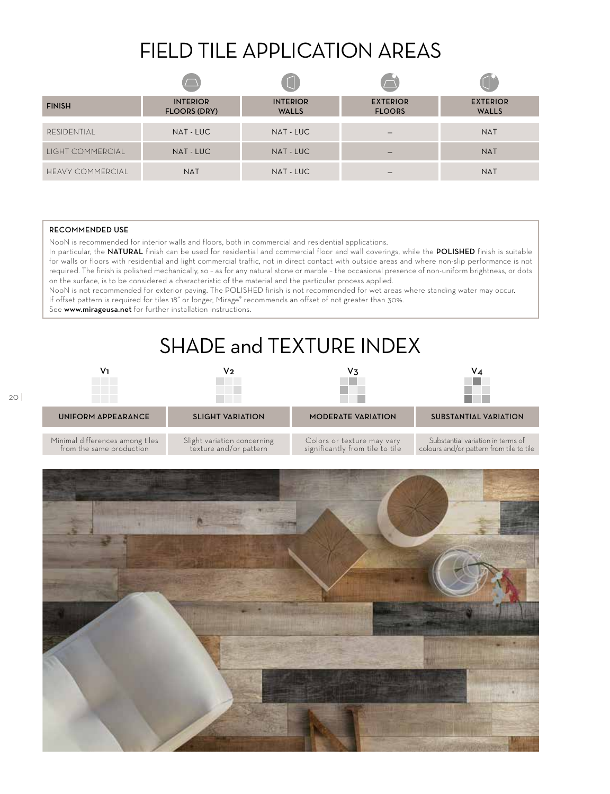## FIELD TILE APPLICATION AREAS

| <b>FINISH</b>           | <b>INTERIOR</b><br><b>FLOORS (DRY)</b> | <b>INTERIOR</b><br><b>WALLS</b> | <b>EXTERIOR</b><br><b>FLOORS</b> | <b>EXTERIOR</b><br><b>WALLS</b> |
|-------------------------|----------------------------------------|---------------------------------|----------------------------------|---------------------------------|
| RESIDENTIAL             | NAT - LUC                              | NAT - LUC                       |                                  | <b>NAT</b>                      |
| LIGHT COMMERCIAL        | NAT - LUC                              | NAT - LUC                       |                                  | <b>NAT</b>                      |
| <b>HEAVY COMMERCIAL</b> | <b>NAT</b>                             | NAT - LUC                       |                                  | <b>NAT</b>                      |

## RECOMMENDED USE

NooN is recommended for interior walls and floors, both in commercial and residential applications.

In particular, the NATURAL finish can be used for residential and commercial floor and wall coverings, while the POLISHED finish is suitable for walls or floors with residential and light commercial traffic, not in direct contact with outside areas and where non-slip performance is not required. The finish is polished mechanically, so – as for any natural stone or marble – the occasional presence of non-uniform brightness, or dots on the surface, is to be considered a characteristic of the material and the particular process applied.

NooN is not recommended for exterior paving. The POLISHED finish is not recommended for wet areas where standing water may occur. If offset pattern is required for tiles 18" or longer, Mirage® recommends an offset of not greater than 30%.

See www.mirageusa.net for further installation instructions.

## SHADE and TEXTURE INDEX